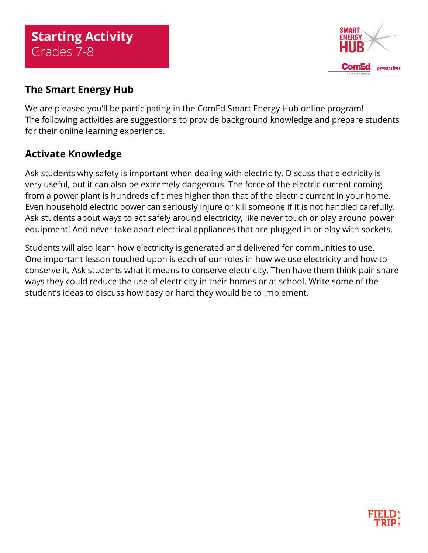

## **The Smart Energy Hub**

We are pleased you'll be participating in the ComEd Smart Energy Hub online program! The following activities are suggestions to provide background knowledge and prepare students for their online learning experience.

## **Activate Knowledge**

Ask students why safety is important when dealing with electricity. Discuss that electricity is very useful, but it can also be extremely dangerous. The force of the electric current coming from a power plant is hundreds of times higher than that of the electric current in your home. Even household electric power can seriously injure or kill someone if it is not handled carefully. Ask students about ways to act safely around electricity, like never touch or play around power equipment! And never take apart electrical appliances that are plugged in or play with sockets.

Students will also learn how electricity is generated and delivered for communities to use. One important lesson touched upon is each of our roles in how we use electricity and how to conserve it. Ask students what it means to conserve electricity. Then have them think-pair-share ways they could reduce the use of electricity in their homes or at school. Write some of the student's ideas to discuss how easy or hard they would be to implement.

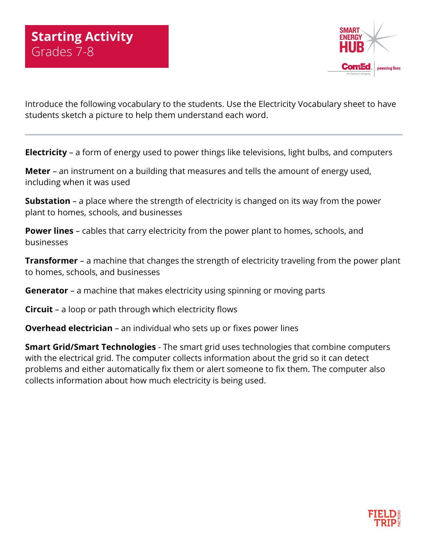

Introduce the following vocabulary to the students. Use the Electricity Vocabulary sheet to have students sketch a picture to help them understand each word.

**Electricity** – a form of energy used to power things like televisions, light bulbs, and computers

**Meter** – an instrument on a building that measures and tells the amount of energy used, including when it was used

**Substation** – a place where the strength of electricity is changed on its way from the power plant to homes, schools, and businesses

**Power lines** – cables that carry electricity from the power plant to homes, schools, and businesses

**Transformer** – a machine that changes the strength of electricity traveling from the power plant to homes, schools, and businesses

**Generator** – a machine that makes electricity using spinning or moving parts

**Circuit** – a loop or path through which electricity flows

**Overhead electrician** – an individual who sets up or fixes power lines

**Smart Grid/Smart Technologies** - The smart grid uses technologies that combine computers with the electrical grid. The computer collects information about the grid so it can detect problems and either automatically fix them or alert someone to fix them. The computer also collects information about how much electricity is being used.